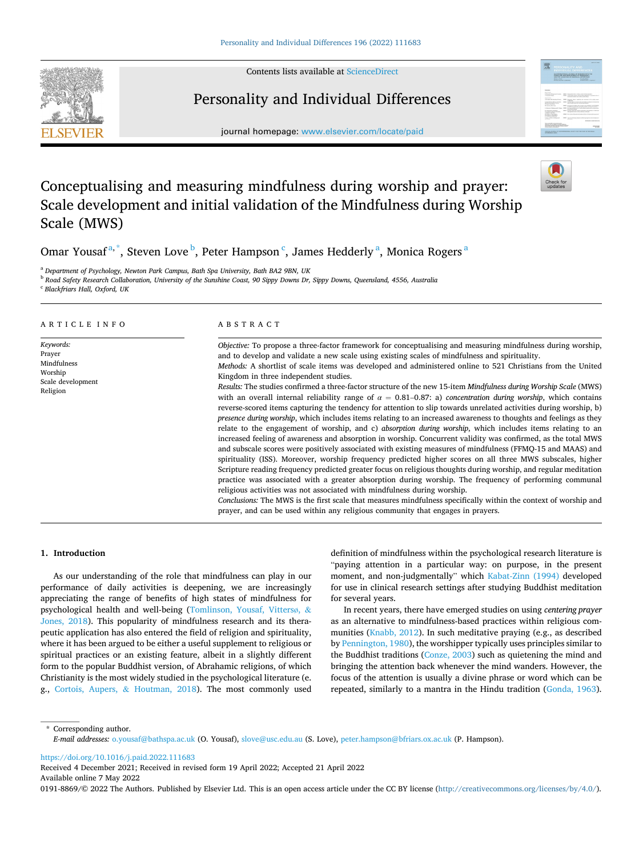Contents lists available at [ScienceDirect](www.sciencedirect.com/science/journal/01918869)

Personality and Individual Differences



journal homepage: [www.elsevier.com/locate/paid](https://www.elsevier.com/locate/paid)

# Conceptualising and measuring mindfulness during worship and prayer: Scale development and initial validation of the Mindfulness during Worship Scale (MWS)

Omar Yousaf<sup>a,\*</sup>, Steven Love <sup>b</sup>, Peter Hampson <sup>c</sup>, James Hedderly <sup>a</sup>, Monica Rogers <sup>a</sup>

<sup>a</sup> *Department of Psychology, Newton Park Campus, Bath Spa University, Bath BA2 9BN, UK* 

<sup>b</sup> *Road Safety Research Collaboration, University of the Sunshine Coast, 90 Sippy Downs Dr, Sippy Downs, Queensland, 4556, Australia* 

<sup>c</sup> *Blackfriars Hall, Oxford, UK* 

| ARTICLE INFO                                                                   | ABSTRACT                                                                                                                                                                                                                                                                                                                                                                                                                                                                                                                                                                                                                                                                                                                                                                                                                                                                                                                                                                                                                                                                                                                                                                                                                                                                                                                                                                                                                                                                                                                                                                                                                                                                                                                                                                                                                                   |
|--------------------------------------------------------------------------------|--------------------------------------------------------------------------------------------------------------------------------------------------------------------------------------------------------------------------------------------------------------------------------------------------------------------------------------------------------------------------------------------------------------------------------------------------------------------------------------------------------------------------------------------------------------------------------------------------------------------------------------------------------------------------------------------------------------------------------------------------------------------------------------------------------------------------------------------------------------------------------------------------------------------------------------------------------------------------------------------------------------------------------------------------------------------------------------------------------------------------------------------------------------------------------------------------------------------------------------------------------------------------------------------------------------------------------------------------------------------------------------------------------------------------------------------------------------------------------------------------------------------------------------------------------------------------------------------------------------------------------------------------------------------------------------------------------------------------------------------------------------------------------------------------------------------------------------------|
| Keywords:<br>Prayer<br>Mindfulness<br>Worship<br>Scale development<br>Religion | Objective: To propose a three-factor framework for conceptualising and measuring mindfulness during worship,<br>and to develop and validate a new scale using existing scales of mindfulness and spirituality.<br>Methods: A shortlist of scale items was developed and administered online to 521 Christians from the United<br>Kingdom in three independent studies.<br>Results: The studies confirmed a three-factor structure of the new 15-item Mindfulness during Worship Scale (MWS)<br>with an overall internal reliability range of $\alpha = 0.81-0.87$ : a) concentration during worship, which contains<br>reverse-scored items capturing the tendency for attention to slip towards unrelated activities during worship, b)<br>presence during worship, which includes items relating to an increased awareness to thoughts and feelings as they<br>relate to the engagement of worship, and c) absorption during worship, which includes items relating to an<br>increased feeling of awareness and absorption in worship. Concurrent validity was confirmed, as the total MWS<br>and subscale scores were positively associated with existing measures of mindfulness (FFMQ-15 and MAAS) and<br>spirituality (ISS). Moreover, worship frequency predicted higher scores on all three MWS subscales, higher<br>Scripture reading frequency predicted greater focus on religious thoughts during worship, and regular meditation<br>practice was associated with a greater absorption during worship. The frequency of performing communal<br>religious activities was not associated with mindfulness during worship.<br>Conclusions: The MWS is the first scale that measures mindfulness specifically within the context of worship and<br>prayer, and can be used within any religious community that engages in prayers. |

# **1. Introduction**

As our understanding of the role that mindfulness can play in our performance of daily activities is deepening, we are increasingly appreciating the range of benefits of high states of mindfulness for psychological health and well-being [\(Tomlinson, Yousaf, Vitters](#page-8-0)ø, & [Jones, 2018](#page-8-0)). This popularity of mindfulness research and its therapeutic application has also entered the field of religion and spirituality, where it has been argued to be either a useful supplement to religious or spiritual practices or an existing feature, albeit in a slightly different form to the popular Buddhist version, of Abrahamic religions, of which Christianity is the most widely studied in the psychological literature (e. g., [Cortois, Aupers,](#page-8-0) & Houtman, 2018). The most commonly used

definition of mindfulness within the psychological research literature is "paying attention in a particular way: on purpose, in the present moment, and non-judgmentally" which [Kabat-Zinn \(1994\)](#page-8-0) developed for use in clinical research settings after studying Buddhist meditation for several years.

In recent years, there have emerged studies on using *centering prayer*  as an alternative to mindfulness-based practices within religious communities ([Knabb, 2012\)](#page-8-0). In such meditative praying (e.g., as described by [Pennington, 1980\)](#page-8-0), the worshipper typically uses principles similar to the Buddhist traditions [\(Conze, 2003](#page-8-0)) such as quietening the mind and bringing the attention back whenever the mind wanders. However, the focus of the attention is usually a divine phrase or word which can be repeated, similarly to a mantra in the Hindu tradition [\(Gonda, 1963](#page-8-0)).

\* Corresponding author. *E-mail addresses:* [o.yousaf@bathspa.ac.uk](mailto:o.yousaf@bathspa.ac.uk) (O. Yousaf), [slove@usc.edu.au](mailto:slove@usc.edu.au) (S. Love), [peter.hampson@bfriars.ox.ac.uk](mailto:peter.hampson@bfriars.ox.ac.uk) (P. Hampson).

<https://doi.org/10.1016/j.paid.2022.111683>

Available online 7 May 2022 Received 4 December 2021; Received in revised form 19 April 2022; Accepted 21 April 2022

0191-8869/© 2022 The Authors. Published by Elsevier Ltd. This is an open access article under the CC BY license [\(http://creativecommons.org/licenses/by/4.0/\)](http://creativecommons.org/licenses/by/4.0/).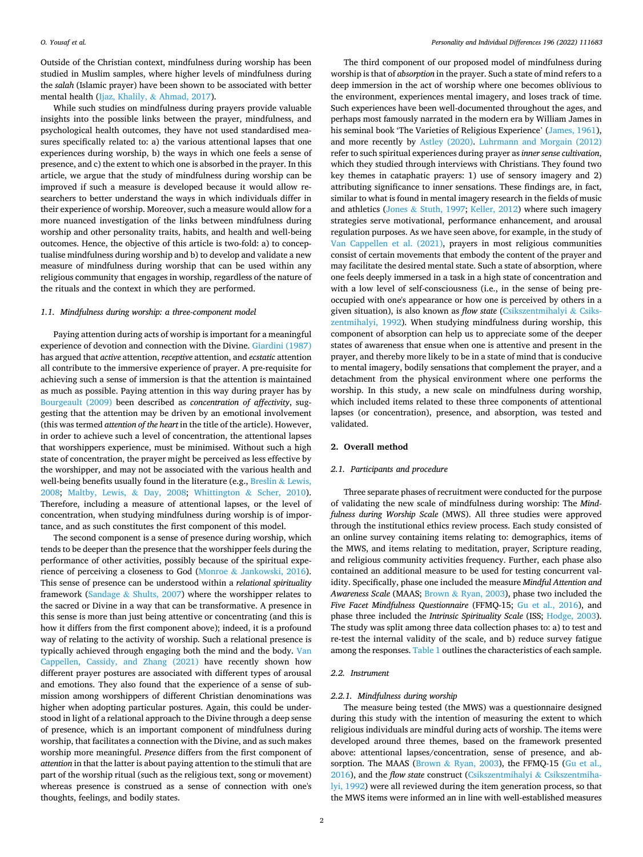Outside of the Christian context, mindfulness during worship has been studied in Muslim samples, where higher levels of mindfulness during the *salah* (Islamic prayer) have been shown to be associated with better mental health (Ijaz, Khalily, & [Ahmad, 2017](#page-8-0)).

While such studies on mindfulness during prayers provide valuable insights into the possible links between the prayer, mindfulness, and psychological health outcomes, they have not used standardised measures specifically related to: a) the various attentional lapses that one experiences during worship, b) the ways in which one feels a sense of presence, and c) the extent to which one is absorbed in the prayer. In this article, we argue that the study of mindfulness during worship can be improved if such a measure is developed because it would allow researchers to better understand the ways in which individuals differ in their experience of worship. Moreover, such a measure would allow for a more nuanced investigation of the links between mindfulness during worship and other personality traits, habits, and health and well-being outcomes. Hence, the objective of this article is two-fold: a) to conceptualise mindfulness during worship and b) to develop and validate a new measure of mindfulness during worship that can be used within any religious community that engages in worship, regardless of the nature of the rituals and the context in which they are performed.

# *1.1. Mindfulness during worship: a three-component model*

Paying attention during acts of worship is important for a meaningful experience of devotion and connection with the Divine. [Giardini \(1987\)](#page-8-0)  has argued that *active* attention, *receptive* attention, and *ecstatic* attention all contribute to the immersive experience of prayer. A pre-requisite for achieving such a sense of immersion is that the attention is maintained as much as possible. Paying attention in this way during prayer has by [Bourgeault \(2009\)](#page-8-0) been described as *concentration of affectivity*, suggesting that the attention may be driven by an emotional involvement (this was termed *attention of the heart* in the title of the article). However, in order to achieve such a level of concentration, the attentional lapses that worshippers experience, must be minimised. Without such a high state of concentration, the prayer might be perceived as less effective by the worshipper, and may not be associated with the various health and well-being benefits usually found in the literature (e.g., [Breslin](#page-8-0)  $&$  Lewis, [2008;](#page-8-0) [Maltby, Lewis,](#page-8-0) & Day, 2008; [Whittington](#page-8-0) & Scher, 2010). Therefore, including a measure of attentional lapses, or the level of concentration, when studying mindfulness during worship is of importance, and as such constitutes the first component of this model.

The second component is a sense of presence during worship, which tends to be deeper than the presence that the worshipper feels during the performance of other activities, possibly because of the spiritual experience of perceiving a closeness to God (Monroe & [Jankowski, 2016](#page-8-0)). This sense of presence can be understood within a *relational spirituality*  framework (Sandage & [Shults, 2007](#page-8-0)) where the worshipper relates to the sacred or Divine in a way that can be transformative. A presence in this sense is more than just being attentive or concentrating (and this is how it differs from the first component above); indeed, it is a profound way of relating to the activity of worship. Such a relational presence is typically achieved through engaging both the mind and the body. [Van](#page-8-0)  [Cappellen, Cassidy, and Zhang \(2021\)](#page-8-0) have recently shown how different prayer postures are associated with different types of arousal and emotions. They also found that the experience of a sense of submission among worshippers of different Christian denominations was higher when adopting particular postures. Again, this could be understood in light of a relational approach to the Divine through a deep sense of presence, which is an important component of mindfulness during worship, that facilitates a connection with the Divine, and as such makes worship more meaningful. *Presence* differs from the first component of *attention* in that the latter is about paying attention to the stimuli that are part of the worship ritual (such as the religious text, song or movement) whereas presence is construed as a sense of connection with one's thoughts, feelings, and bodily states.

The third component of our proposed model of mindfulness during worship is that of *absorption* in the prayer. Such a state of mind refers to a deep immersion in the act of worship where one becomes oblivious to the environment, experiences mental imagery, and loses track of time. Such experiences have been well-documented throughout the ages, and perhaps most famously narrated in the modern era by William James in his seminal book 'The Varieties of Religious Experience' [\(James, 1961](#page-8-0)), and more recently by [Astley \(2020\)](#page-8-0). [Luhrmann and Morgain \(2012\)](#page-8-0)  refer to such spiritual experiences during prayer as *inner sense cultivation*, which they studied through interviews with Christians. They found two key themes in cataphatic prayers: 1) use of sensory imagery and 2) attributing significance to inner sensations. These findings are, in fact, similar to what is found in mental imagery research in the fields of music and athletics (Jones & [Stuth, 1997](#page-8-0); [Keller, 2012\)](#page-8-0) where such imagery strategies serve motivational, performance enhancement, and arousal regulation purposes. As we have seen above, for example, in the study of [Van Cappellen et al. \(2021\)](#page-8-0), prayers in most religious communities consist of certain movements that embody the content of the prayer and may facilitate the desired mental state. Such a state of absorption, where one feels deeply immersed in a task in a high state of concentration and with a low level of self-consciousness (i.e., in the sense of being preoccupied with one's appearance or how one is perceived by others in a given situation), is also known as *flow state* [\(Csikszentmihalyi](#page-8-0) & Csiks[zentmihalyi, 1992\)](#page-8-0). When studying mindfulness during worship, this component of absorption can help us to appreciate some of the deeper states of awareness that ensue when one is attentive and present in the prayer, and thereby more likely to be in a state of mind that is conducive to mental imagery, bodily sensations that complement the prayer, and a detachment from the physical environment where one performs the worship. In this study, a new scale on mindfulness during worship, which included items related to these three components of attentional lapses (or concentration), presence, and absorption, was tested and validated.

#### **2. Overall method**

#### *2.1. Participants and procedure*

Three separate phases of recruitment were conducted for the purpose of validating the new scale of mindfulness during worship: The *Mindfulness during Worship Scale* (MWS). All three studies were approved through the institutional ethics review process. Each study consisted of an online survey containing items relating to: demographics, items of the MWS, and items relating to meditation, prayer, Scripture reading, and religious community activities frequency. Further, each phase also contained an additional measure to be used for testing concurrent validity. Specifically, phase one included the measure *Mindful Attention and Awareness Scale* (MAAS; Brown & [Ryan, 2003\)](#page-8-0), phase two included the *Five Facet Mindfulness Questionnaire* (FFMQ-15; [Gu et al., 2016\)](#page-8-0), and phase three included the *Intrinsic Spirituality Scale* (ISS; [Hodge, 2003](#page-8-0)). The study was split among three data collection phases to: a) to test and re-test the internal validity of the scale, and b) reduce survey fatigue among the responses. [Table 1](#page-2-0) outlines the characteristics of each sample.

# *2.2. Instrument*

#### *2.2.1. Mindfulness during worship*

The measure being tested (the MWS) was a questionnaire designed during this study with the intention of measuring the extent to which religious individuals are mindful during acts of worship. The items were developed around three themes, based on the framework presented above: attentional lapses/concentration, sense of presence, and absorption. The MAAS (Brown & [Ryan, 2003](#page-8-0)), the FFMQ-15 ([Gu et al.,](#page-8-0)  [2016\)](#page-8-0), and the *flow state* construct ([Csikszentmihalyi](#page-8-0) & Csikszentmiha[lyi, 1992\)](#page-8-0) were all reviewed during the item generation process, so that the MWS items were informed an in line with well-established measures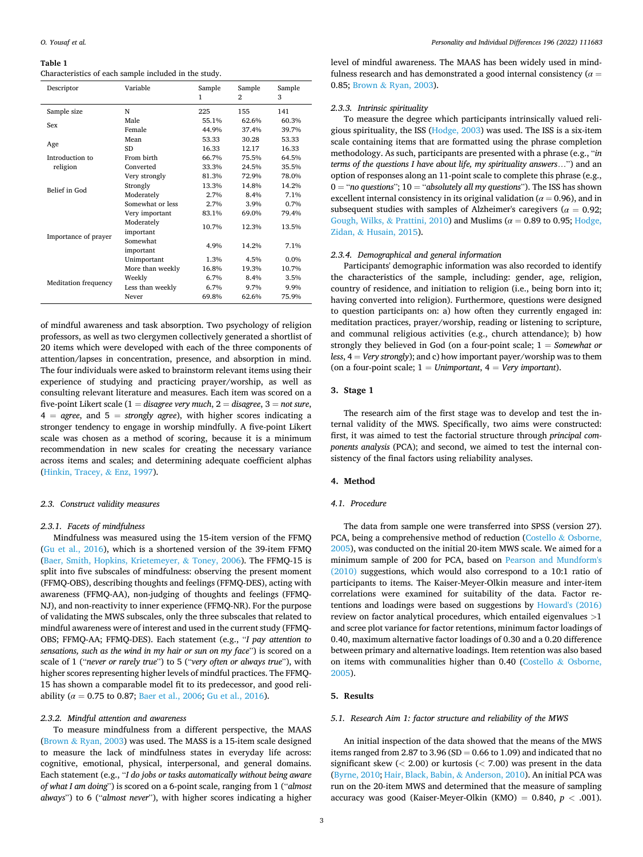#### <span id="page-2-0"></span>**Table 1**

#### Characteristics of each sample included in the study.

| Descriptor           | Variable         | Sample<br>1 | Sample<br>2 | Sample<br>3 |
|----------------------|------------------|-------------|-------------|-------------|
| Sample size          | N                | 225         | 155         | 141         |
| Sex                  | Male             | 55.1%       | 62.6%       | 60.3%       |
|                      | Female           | 44.9%       | 37.4%       | 39.7%       |
| Age                  | Mean             | 53.33       | 30.28       | 53.33       |
|                      | <b>SD</b>        | 16.33       | 12.17       | 16.33       |
| Introduction to      | From birth       | 66.7%       | 75.5%       | 64.5%       |
| religion             | Converted        | 33.3%       | 24.5%       | 35.5%       |
| Belief in God        | Very strongly    | 81.3%       | 72.9%       | 78.0%       |
|                      | Strongly         | 13.3%       | 14.8%       | 14.2%       |
|                      | Moderately       | 2.7%        | 8.4%        | 7.1%        |
|                      | Somewhat or less | 2.7%        | 3.9%        | 0.7%        |
|                      | Very important   | 83.1%       | 69.0%       | 79.4%       |
|                      | Moderately       | 10.7%       | 12.3%       | 13.5%       |
| Importance of prayer | important        |             |             |             |
|                      | Somewhat         | 4.9%        |             | 7.1%        |
|                      | important        |             |             |             |
|                      | Unimportant      | 1.3%        | 4.5%        | 0.0%        |
|                      | More than weekly | 16.8%       | 19.3%       | 10.7%       |
| Meditation frequency | Weekly           | 6.7%        | 8.4%        | 3.5%        |
|                      | Less than weekly | 6.7%        | 9.7%        | 9.9%        |
|                      | Never            | 69.8%       | 62.6%       | 75.9%       |

of mindful awareness and task absorption. Two psychology of religion professors, as well as two clergymen collectively generated a shortlist of 20 items which were developed with each of the three components of attention/lapses in concentration, presence, and absorption in mind. The four individuals were asked to brainstorm relevant items using their experience of studying and practicing prayer/worship, as well as consulting relevant literature and measures. Each item was scored on a five-point Likert scale (1 = *disagree very much*, 2 = *disagree*, 3 = *not sure*, 4 = *agree*, and 5 = *strongly agree*), with higher scores indicating a stronger tendency to engage in worship mindfully. A five-point Likert scale was chosen as a method of scoring, because it is a minimum recommendation in new scales for creating the necessary variance across items and scales; and determining adequate coefficient alphas ([Hinkin, Tracey,](#page-8-0) & Enz, 1997).

#### *2.3. Construct validity measures*

# *2.3.1. Facets of mindfulness*

Mindfulness was measured using the 15-item version of the FFMQ ([Gu et al., 2016\)](#page-8-0), which is a shortened version of the 39-item FFMQ ([Baer, Smith, Hopkins, Krietemeyer,](#page-8-0) & Toney, 2006). The FFMQ-15 is split into five subscales of mindfulness: observing the present moment (FFMQ-OBS), describing thoughts and feelings (FFMQ-DES), acting with awareness (FFMQ-AA), non-judging of thoughts and feelings (FFMQ-NJ), and non-reactivity to inner experience (FFMQ-NR). For the purpose of validating the MWS subscales, only the three subscales that related to mindful awareness were of interest and used in the current study (FFMQ-OBS; FFMQ-AA; FFMQ-DES). Each statement (e.g., "*I pay attention to sensations, such as the wind in my hair or sun on my face*") is scored on a scale of 1 ("*never or rarely true*") to 5 ("*very often or always true*"), with higher scores representing higher levels of mindful practices. The FFMQ-15 has shown a comparable model fit to its predecessor, and good reliability ( $\alpha = 0.75$  to 0.87; [Baer et al., 2006](#page-8-0); [Gu et al., 2016\)](#page-8-0).

#### *2.3.2. Mindful attention and awareness*

To measure mindfulness from a different perspective, the MAAS (Brown & [Ryan, 2003\)](#page-8-0) was used. The MASS is a 15-item scale designed to measure the lack of mindfulness states in everyday life across: cognitive, emotional, physical, interpersonal, and general domains. Each statement (e.g., "*I do jobs or tasks automatically without being aware of what I am doing*") is scored on a 6-point scale, ranging from 1 ("*almost always*") to 6 ("*almost never*"), with higher scores indicating a higher

level of mindful awareness. The MAAS has been widely used in mindfulness research and has demonstrated a good internal consistency ( $\alpha$  = 0.85; Brown & [Ryan, 2003](#page-8-0)).

#### *2.3.3. Intrinsic spirituality*

To measure the degree which participants intrinsically valued religious spirituality, the ISS [\(Hodge, 2003](#page-8-0)) was used. The ISS is a six-item scale containing items that are formatted using the phrase completion methodology. As such, participants are presented with a phrase (e.g., "*in terms of the questions I have about life, my spirituality answers*…") and an option of responses along an 11-point scale to complete this phrase (e.g., 0 = "*no questions*"; 10 = "*absolutely all my questions*"). The ISS has shown excellent internal consistency in its original validation ( $\alpha$  = 0.96), and in subsequent studies with samples of Alzheimer's caregivers ( $\alpha = 0.92$ ; [Gough, Wilks,](#page-8-0) & Prattini, 2010) and Muslims (*α* = 0.89 to 0.95; [Hodge,](#page-8-0)  Zidan, & [Husain, 2015](#page-8-0)).

# *2.3.4. Demographical and general information*

Participants' demographic information was also recorded to identify the characteristics of the sample, including: gender, age, religion, country of residence, and initiation to religion (i.e., being born into it; having converted into religion). Furthermore, questions were designed to question participants on: a) how often they currently engaged in: meditation practices, prayer/worship, reading or listening to scripture, and communal religious activities (e.g., church attendance); b) how strongly they believed in God (on a four-point scale; 1 = *Somewhat or less*, 4 = *Very strongly*); and c) how important payer/worship was to them (on a four-point scale; 1 = *Unimportant*, 4 = *Very important*).

#### **3. Stage 1**

The research aim of the first stage was to develop and test the internal validity of the MWS. Specifically, two aims were constructed: first, it was aimed to test the factorial structure through *principal components analysis* (PCA); and second, we aimed to test the internal consistency of the final factors using reliability analyses.

# **4. Method**

#### *4.1. Procedure*

The data from sample one were transferred into SPSS (version 27). PCA, being a comprehensive method of reduction (Costello & Osborne, [2005\)](#page-8-0), was conducted on the initial 20-item MWS scale. We aimed for a minimum sample of 200 for PCA, based on [Pearson and Mundform's](#page-8-0)  [\(2010\)](#page-8-0) suggestions, which would also correspond to a 10:1 ratio of participants to items. The Kaiser-Meyer-Olkin measure and inter-item correlations were examined for suitability of the data. Factor retentions and loadings were based on suggestions by [Howard's \(2016\)](#page-8-0)  review on factor analytical procedures, which entailed eigenvalues *>*1 and scree plot variance for factor retentions, minimum factor loadings of 0.40, maximum alternative factor loadings of 0.30 and a 0.20 difference between primary and alternative loadings. Item retention was also based on items with communalities higher than 0.40 (Costello & [Osborne,](#page-8-0)  [2005\)](#page-8-0).

#### **5. Results**

#### *5.1. Research Aim 1: factor structure and reliability of the MWS*

An initial inspection of the data showed that the means of the MWS items ranged from 2.87 to 3.96 (SD =  $0.66$  to 1.09) and indicated that no significant skew (*<* 2.00) or kurtosis (*<* 7.00) was present in the data ([Byrne, 2010](#page-8-0); [Hair, Black, Babin,](#page-8-0) & Anderson, 2010). An initial PCA was run on the 20-item MWS and determined that the measure of sampling accuracy was good (Kaiser-Meyer-Olkin (KMO) = 0.840, *p <* .001).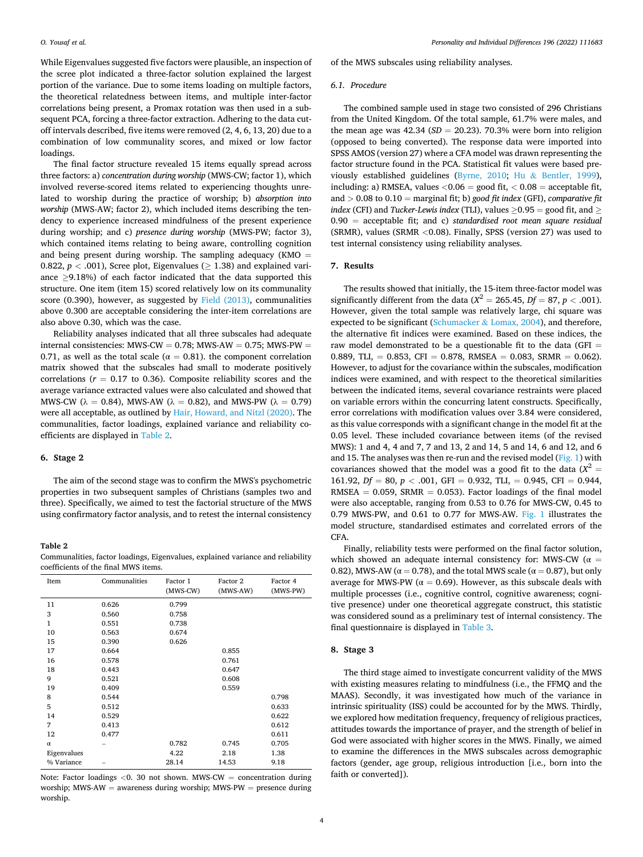While Eigenvalues suggested five factors were plausible, an inspection of the scree plot indicated a three-factor solution explained the largest portion of the variance. Due to some items loading on multiple factors, the theoretical relatedness between items, and multiple inter-factor correlations being present, a Promax rotation was then used in a subsequent PCA, forcing a three-factor extraction. Adhering to the data cutoff intervals described, five items were removed (2, 4, 6, 13, 20) due to a combination of low communality scores, and mixed or low factor loadings.

The final factor structure revealed 15 items equally spread across three factors: a) *concentration during worship* (MWS-CW; factor 1), which involved reverse-scored items related to experiencing thoughts unrelated to worship during the practice of worship; b) *absorption into worship* (MWS-AW; factor 2), which included items describing the tendency to experience increased mindfulness of the present experience during worship; and c) *presence during worship* (MWS-PW; factor 3), which contained items relating to being aware, controlling cognition and being present during worship. The sampling adequacy (KMO  $=$ 0.822,  $p < .001$ ), Scree plot, Eigenvalues ( $> 1.38$ ) and explained variance ≥9.18%) of each factor indicated that the data supported this structure. One item (item 15) scored relatively low on its communality score (0.390), however, as suggested by [Field \(2013\)](#page-8-0), communalities above 0.300 are acceptable considering the inter-item correlations are also above 0.30, which was the case.

Reliability analyses indicated that all three subscales had adequate internal consistencies: MWS-CW =  $0.78$ ; MWS-AW =  $0.75$ ; MWS-PW = 0.71, as well as the total scale ( $\alpha = 0.81$ ). the component correlation matrix showed that the subscales had small to moderate positively correlations ( $r = 0.17$  to 0.36). Composite reliability scores and the average variance extracted values were also calculated and showed that MWS-CW ( $\lambda = 0.84$ ), MWS-AW ( $\lambda = 0.82$ ), and MWS-PW ( $\lambda = 0.79$ ) were all acceptable, as outlined by [Hair, Howard, and Nitzl \(2020\)](#page-8-0). The communalities, factor loadings, explained variance and reliability coefficients are displayed in Table 2.

#### **6. Stage 2**

The aim of the second stage was to confirm the MWS's psychometric properties in two subsequent samples of Christians (samples two and three). Specifically, we aimed to test the factorial structure of the MWS using confirmatory factor analysis, and to retest the internal consistency

#### **Table 2**

Communalities, factor loadings, Eigenvalues, explained variance and reliability coefficients of the final MWS items.

| Item         | Communalities | Factor 1<br>(MWS-CW) | Factor 2<br>(MWS-AW) | Factor 4<br>(MWS-PW) |
|--------------|---------------|----------------------|----------------------|----------------------|
| 11           | 0.626         | 0.799                |                      |                      |
| 3            | 0.560         | 0.758                |                      |                      |
| $\mathbf{1}$ | 0.551         | 0.738                |                      |                      |
| 10           | 0.563         | 0.674                |                      |                      |
| 15           | 0.390         | 0.626                |                      |                      |
| 17           | 0.664         |                      | 0.855                |                      |
| 16           | 0.578         |                      | 0.761                |                      |
| 18           | 0.443         |                      | 0.647                |                      |
| 9            | 0.521         |                      | 0.608                |                      |
| 19           | 0.409         |                      | 0.559                |                      |
| 8            | 0.544         |                      |                      | 0.798                |
| 5            | 0.512         |                      |                      | 0.633                |
| 14           | 0.529         |                      |                      | 0.622                |
| 7            | 0.413         |                      |                      | 0.612                |
| 12           | 0.477         |                      |                      | 0.611                |
| $\alpha$     |               | 0.782                | 0.745                | 0.705                |
| Eigenvalues  |               | 4.22                 | 2.18                 | 1.38                 |
| % Variance   |               | 28.14                | 14.53                | 9.18                 |

Note: Factor loadings *<*0. 30 not shown. MWS-CW = concentration during worship; MWS-AW = awareness during worship; MWS-PW = presence during worship.

of the MWS subscales using reliability analyses.

#### *6.1. Procedure*

The combined sample used in stage two consisted of 296 Christians from the United Kingdom. Of the total sample, 61.7% were males, and the mean age was  $42.34$  ( $SD = 20.23$ ). 70.3% were born into religion (opposed to being converted). The response data were imported into SPSS AMOS (version 27) where a CFA model was drawn representing the factor structure found in the PCA. Statistical fit values were based previously established guidelines ([Byrne, 2010](#page-8-0); Hu & [Bentler, 1999](#page-8-0)), including: a) RMSEA, values *<*0.06 = good fit, *<* 0.08 = acceptable fit, and *>* 0.08 to 0.10 = marginal fit; b) *good fit index* (GFI), *comparative fit index* (CFI) and *Tucker-Lewis index* (TLI), values  $\geq$  0.95 = good fit, and  $\geq$ 0.90 = acceptable fit; and c) *standardised root mean square residual*  (SRMR), values (SRMR *<*0.08). Finally, SPSS (version 27) was used to test internal consistency using reliability analyses.

# **7. Results**

The results showed that initially, the 15-item three-factor model was significantly different from the data ( $X^2 = 265.45$ ,  $Df = 87$ ,  $p < .001$ ). However, given the total sample was relatively large, chi square was expected to be significant (Schumacker & [Lomax, 2004\)](#page-8-0), and therefore, the alternative fit indices were examined. Based on these indices, the raw model demonstrated to be a questionable fit to the data (GFI = 0.889, TLI, = 0.853, CFI = 0.878, RMSEA = 0.083, SRMR = 0.062). However, to adjust for the covariance within the subscales, modification indices were examined, and with respect to the theoretical similarities between the indicated items, several covariance restraints were placed on variable errors within the concurring latent constructs. Specifically, error correlations with modification values over 3.84 were considered, as this value corresponds with a significant change in the model fit at the 0.05 level. These included covariance between items (of the revised MWS): 1 and 4, 4 and 7, 7 and 13, 2 and 14, 5 and 14, 6 and 12, and 6 and 15. The analyses was then re-run and the revised model ([Fig. 1](#page-4-0)) with covariances showed that the model was a good fit to the data  $(X^2 =$ 161.92, *Df* = 80, *p <* .001, GFI = 0.932, TLI, = 0.945, CFI = 0.944, RMSEA =  $0.059$ , SRMR = 0.053). Factor loadings of the final model were also acceptable, ranging from 0.53 to 0.76 for MWS-CW, 0.45 to 0.79 MWS-PW, and 0.61 to 0.77 for MWS-AW. [Fig. 1](#page-4-0) illustrates the model structure, standardised estimates and correlated errors of the CFA.

Finally, reliability tests were performed on the final factor solution, which showed an adequate internal consistency for: MWS-CW ( $\alpha$  = 0.82), MWS-AW ( $\alpha$  = 0.78), and the total MWS scale ( $\alpha$  = 0.87), but only average for MWS-PW ( $\alpha = 0.69$ ). However, as this subscale deals with multiple processes (i.e., cognitive control, cognitive awareness; cognitive presence) under one theoretical aggregate construct, this statistic was considered sound as a preliminary test of internal consistency. The final questionnaire is displayed in [Table 3](#page-4-0).

#### **8. Stage 3**

The third stage aimed to investigate concurrent validity of the MWS with existing measures relating to mindfulness (i.e., the FFMQ and the MAAS). Secondly, it was investigated how much of the variance in intrinsic spirituality (ISS) could be accounted for by the MWS. Thirdly, we explored how meditation frequency, frequency of religious practices, attitudes towards the importance of prayer, and the strength of belief in God were associated with higher scores in the MWS. Finally, we aimed to examine the differences in the MWS subscales across demographic factors (gender, age group, religious introduction [i.e., born into the faith or converted]).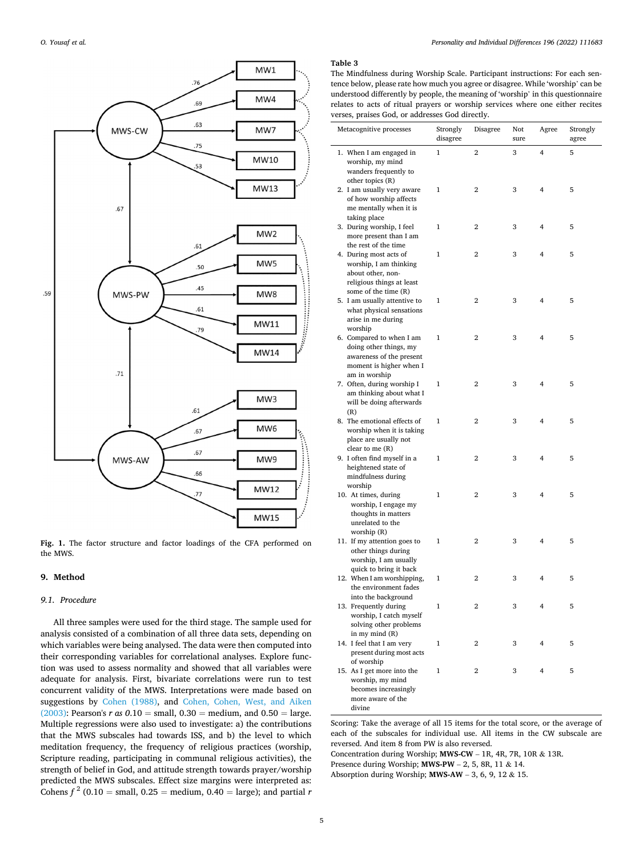<span id="page-4-0"></span>

**Fig. 1.** The factor structure and factor loadings of the CFA performed on the MWS.

# **9. Method**

#### *9.1. Procedure*

All three samples were used for the third stage. The sample used for analysis consisted of a combination of all three data sets, depending on which variables were being analysed. The data were then computed into their corresponding variables for correlational analyses. Explore function was used to assess normality and showed that all variables were adequate for analysis. First, bivariate correlations were run to test concurrent validity of the MWS. Interpretations were made based on suggestions by [Cohen \(1988\),](#page-8-0) and [Cohen, Cohen, West, and Aiken](#page-8-0)  [\(2003\):](#page-8-0) Pearson's *r as*  $0.10 = \text{small}, 0.30 = \text{medium}, \text{and } 0.50 = \text{large}.$ Multiple regressions were also used to investigate: a) the contributions that the MWS subscales had towards ISS, and b) the level to which meditation frequency, the frequency of religious practices (worship, Scripture reading, participating in communal religious activities), the strength of belief in God, and attitude strength towards prayer/worship predicted the MWS subscales. Effect size margins were interpreted as: Cohens  $f^2$  (0.10 = small, 0.25 = medium, 0.40 = large); and partial *r* 

# **Table 3**

The Mindfulness during Worship Scale. Participant instructions: For each sentence below, please rate how much you agree or disagree. While 'worship' can be understood differently by people, the meaning of 'worship' in this questionnaire relates to acts of ritual prayers or worship services where one either recites verses, praises God, or addresses God directly.

| Metacognitive processes                                                                                                    | Strongly<br>disagree | Disagree       | Not<br>sure | Agree          | Strongly<br>agree |
|----------------------------------------------------------------------------------------------------------------------------|----------------------|----------------|-------------|----------------|-------------------|
| 1. When I am engaged in<br>worship, my mind<br>wanders frequently to<br>other topics (R)                                   | 1                    | $\overline{2}$ | 3           | $\overline{4}$ | 5                 |
| 2. I am usually very aware<br>of how worship affects<br>me mentally when it is<br>taking place                             | 1                    | 2              | 3           | 4              | 5                 |
| 3. During worship, I feel<br>more present than I am<br>the rest of the time                                                | 1                    | 2              | 3           | 4              | 5                 |
| 4. During most acts of<br>worship, I am thinking<br>about other, non-<br>religious things at least<br>some of the time (R) | 1                    | 2              | 3           | 4              | 5                 |
| 5. I am usually attentive to<br>what physical sensations<br>arise in me during<br>worship                                  | 1                    | 2              | 3           | 4              | 5                 |
| 6. Compared to when I am<br>doing other things, my<br>awareness of the present<br>moment is higher when I<br>am in worship | 1                    | 2              | 3           | 4              | 5                 |
| 7. Often, during worship I<br>am thinking about what I<br>will be doing afterwards<br>(R)                                  | 1                    | 2              | 3           | 4              | 5                 |
| 8. The emotional effects of<br>worship when it is taking<br>place are usually not<br>clear to me $(R)$                     | 1                    | 2              | 3           | 4              | 5                 |
| 9. I often find myself in a<br>heightened state of<br>mindfulness during<br>worship                                        | 1                    | 2              | 3           | 4              | 5                 |
| 10. At times, during<br>worship, I engage my<br>thoughts in matters<br>unrelated to the<br>worship (R)                     | 1                    | 2              | 3           | 4              | 5                 |
| 11. If my attention goes to<br>other things during<br>worship, I am usually<br>quick to bring it back                      | $\mathbf{1}$         | 2              | 3           | 4              | 5                 |
| 12. When I am worshipping,<br>the environment fades<br>into the background                                                 | $\mathbf{1}$         | 2              | 3           | 4              | 5                 |
| 13. Frequently during<br>worship, I catch myself<br>solving other problems<br>in my mind (R)                               | 1                    | 2              | 3           | 4              | 5                 |
| 14. I feel that I am very<br>present during most acts<br>of worship                                                        | 1                    | 2              | 3           | 4              | 5                 |
| 15. As I get more into the<br>worship, my mind<br>becomes increasingly<br>more aware of the<br>divine                      | 1                    | 2              | 3           | 4              | 5                 |

Scoring: Take the average of all 15 items for the total score, or the average of each of the subscales for individual use. All items in the CW subscale are reversed. And item 8 from PW is also reversed.

Concentration during Worship; **MWS-CW** – 1R, 4R, 7R, 10R & 13R.

Presence during Worship; **MWS-PW** – 2, 5, 8R, 11 & 14.

Absorption during Worship; **MWS-AW** – 3, 6, 9, 12 & 15.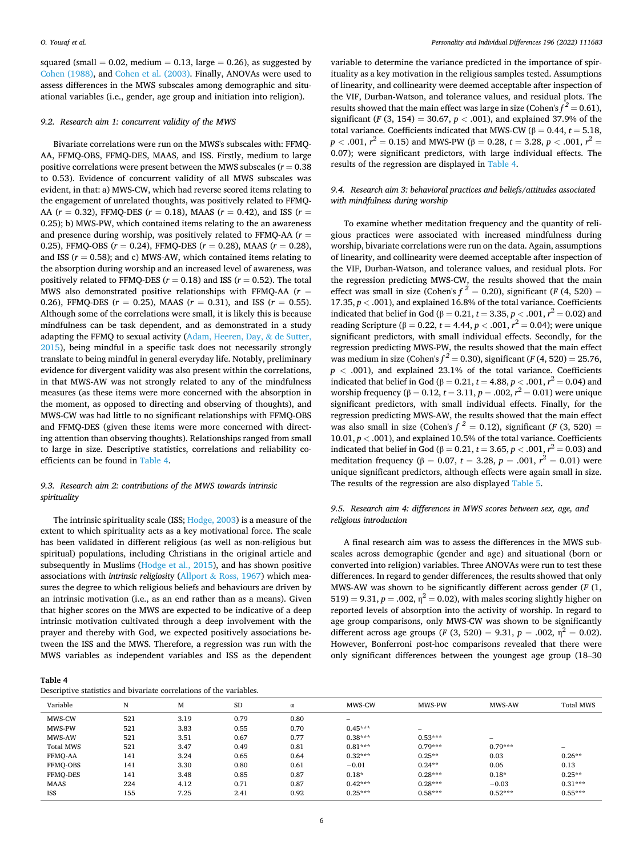squared (small  $= 0.02$ , medium  $= 0.13$ , large  $= 0.26$ ), as suggested by [Cohen \(1988\)](#page-8-0), and [Cohen et al. \(2003\)](#page-8-0). Finally, ANOVAs were used to assess differences in the MWS subscales among demographic and situational variables (i.e., gender, age group and initiation into religion).

# *9.2. Research aim 1: concurrent validity of the MWS*

Bivariate correlations were run on the MWS's subscales with: FFMQ-AA, FFMQ-OBS, FFMQ-DES, MAAS, and ISS. Firstly, medium to large positive correlations were present between the MWS subscales (*r* = 0.38 to 0.53). Evidence of concurrent validity of all MWS subscales was evident, in that: a) MWS-CW, which had reverse scored items relating to the engagement of unrelated thoughts, was positively related to FFMQ-AA (*r* = 0.32), FFMQ-DES (*r* = 0.18), MAAS (*r* = 0.42), and ISS (*r* = 0.25); b) MWS-PW, which contained items relating to the an awareness and presence during worship, was positively related to FFMQ-AA (*r* = 0.25), FFMQ-OBS (*r* = 0.24), FFMQ-DES (*r* = 0.28), MAAS (*r* = 0.28), and ISS  $(r = 0.58)$ ; and c) MWS-AW, which contained items relating to the absorption during worship and an increased level of awareness, was positively related to FFMQ-DES ( $r = 0.18$ ) and ISS ( $r = 0.52$ ). The total MWS also demonstrated positive relationships with FFMQ-AA (*r* = 0.26), FFMQ-DES ( $r = 0.25$ ), MAAS ( $r = 0.31$ ), and ISS ( $r = 0.55$ ). Although some of the correlations were small, it is likely this is because mindfulness can be task dependent, and as demonstrated in a study adapting the FFMQ to sexual activity [\(Adam, Heeren, Day,](#page-8-0) & de Sutter, [2015\)](#page-8-0), being mindful in a specific task does not necessarily strongly translate to being mindful in general everyday life. Notably, preliminary evidence for divergent validity was also present within the correlations, in that MWS-AW was not strongly related to any of the mindfulness measures (as these items were more concerned with the absorption in the moment, as opposed to directing and observing of thoughts), and MWS-CW was had little to no significant relationships with FFMQ-OBS and FFMQ-DES (given these items were more concerned with directing attention than observing thoughts). Relationships ranged from small to large in size. Descriptive statistics, correlations and reliability coefficients can be found in Table 4.

# *9.3. Research aim 2: contributions of the MWS towards intrinsic spirituality*

The intrinsic spirituality scale (ISS; [Hodge, 2003\)](#page-8-0) is a measure of the extent to which spirituality acts as a key motivational force. The scale has been validated in different religious (as well as non-religious but spiritual) populations, including Christians in the original article and subsequently in Muslims ([Hodge et al., 2015](#page-8-0)), and has shown positive associations with *intrinsic religiosit*y (Allport & [Ross, 1967\)](#page-8-0) which measures the degree to which religious beliefs and behaviours are driven by an intrinsic motivation (i.e., as an end rather than as a means). Given that higher scores on the MWS are expected to be indicative of a deep intrinsic motivation cultivated through a deep involvement with the prayer and thereby with God, we expected positively associations between the ISS and the MWS. Therefore, a regression was run with the MWS variables as independent variables and ISS as the dependent

variable to determine the variance predicted in the importance of spirituality as a key motivation in the religious samples tested. Assumptions of linearity, and collinearity were deemed acceptable after inspection of the VIF, Durban-Watson, and tolerance values, and residual plots. The results showed that the main effect was large in size (Cohen's  $f^2 = 0.61$ ), significant (*F* (3, 154) = 30.67,  $p < .001$ ), and explained 37.9% of the total variance. Coefficients indicated that MWS-CW ( $β = 0.44$ ,  $t = 5.18$ ,  $p < .001, r^2 = 0.15$ ) and MWS-PW (β = 0.28, *t* = 3.28, *p* < .001,  $r^2 =$ 0.07); were significant predictors, with large individual effects. The results of the regression are displayed in Table 4.

# *9.4. Research aim 3: behavioral practices and beliefs/attitudes associated with mindfulness during worship*

To examine whether meditation frequency and the quantity of religious practices were associated with increased mindfulness during worship, bivariate correlations were run on the data. Again, assumptions of linearity, and collinearity were deemed acceptable after inspection of the VIF, Durban-Watson, and tolerance values, and residual plots. For the regression predicting MWS-CW, the results showed that the main effect was small in size (Cohen's  $f^2 = 0.20$ ), significant (*F* (4, 520) = 17.35,  $p < .001$ ), and explained 16.8% of the total variance. Coefficients indicated that belief in God ( $β = 0.21, t = 3.35, p < .001, r<sup>2</sup> = 0.02$ ) and reading Scripture (β = 0.22, *t* = 4.44, *p* < .001,  $r^2$  = 0.04); were unique significant predictors, with small individual effects. Secondly, for the regression predicting MWS-PW, the results showed that the main effect was medium in size (Cohen's  $f^2 = 0.30$ ), significant (*F* (4, 520) = 25.76,  $p < .001$ ), and explained 23.1% of the total variance. Coefficients indicated that belief in God ( $β = 0.21$ ,  $t = 4.88$ ,  $p < .001$ ,  $r^2 = 0.04$ ) and worship frequency (β = 0.12,  $t = 3.11$ ,  $p = .002$ ,  $r^2 = 0.01$ ) were unique significant predictors, with small individual effects. Finally, for the regression predicting MWS-AW, the results showed that the main effect was also small in size (Cohen's  $f^2 = 0.12$ ), significant (*F* (3, 520) = 10.01, *p <* .001), and explained 10.5% of the total variance. Coefficients indicated that belief in God ( $β = 0.21$ ,  $t = 3.65$ ,  $p < .001$ ,  $r^2 = 0.03$ ) and meditation frequency ( $β = 0.07$ ,  $t = 3.28$ ,  $p = .001$ ,  $r^2 = 0.01$ ) were unique significant predictors, although effects were again small in size. The results of the regression are also displayed [Table 5.](#page-6-0)

# *9.5. Research aim 4: differences in MWS scores between sex, age, and religious introduction*

A final research aim was to assess the differences in the MWS subscales across demographic (gender and age) and situational (born or converted into religion) variables. Three ANOVAs were run to test these differences. In regard to gender differences, the results showed that only MWS-AW was shown to be significantly different across gender (*F* (1,  $519$ ) = 9.31,  $p = .002$ ,  $\eta^2 = 0.02$ ), with males scoring slightly higher on reported levels of absorption into the activity of worship. In regard to age group comparisons, only MWS-CW was shown to be significantly different across age groups (*F* (3, 520) = 9.31,  $p = .002$ ,  $\eta^2 = 0.02$ ). However, Bonferroni post-hoc comparisons revealed that there were only significant differences between the youngest age group (18–30

| ٧ |  |
|---|--|
|   |  |

Descriptive statistics and bivariate correlations of the variables.

|                  | Descriptive statistics and proariate correlations of the variables. |      |           |          |                          |                          |                 |                  |  |  |
|------------------|---------------------------------------------------------------------|------|-----------|----------|--------------------------|--------------------------|-----------------|------------------|--|--|
| Variable         | N                                                                   | М    | <b>SD</b> | $\alpha$ | MWS-CW                   | MWS-PW                   | MWS-AW          | <b>Total MWS</b> |  |  |
| MWS-CW           | 521                                                                 | 3.19 | 0.79      | 0.80     | $\overline{\phantom{a}}$ |                          |                 |                  |  |  |
| MWS-PW           | 521                                                                 | 3.83 | 0.55      | 0.70     | $0.45***$                | $\overline{\phantom{a}}$ |                 |                  |  |  |
| MWS-AW           | 521                                                                 | 3.51 | 0.67      | 0.77     | $0.38***$                | $0.53***$                | $\qquad \qquad$ |                  |  |  |
| <b>Total MWS</b> | 521                                                                 | 3.47 | 0.49      | 0.81     | $0.81***$                | $0.79***$                | $0.79***$       |                  |  |  |
| FFMO-AA          | 141                                                                 | 3.24 | 0.65      | 0.64     | $0.32***$                | $0.25**$                 | 0.03            | $0.26**$         |  |  |
| FFMO-OBS         | 141                                                                 | 3.30 | 0.80      | 0.61     | $-0.01$                  | $0.24**$                 | 0.06            | 0.13             |  |  |
| FFMO-DES         | 141                                                                 | 3.48 | 0.85      | 0.87     | $0.18*$                  | $0.28***$                | $0.18*$         | $0.25**$         |  |  |
| <b>MAAS</b>      | 224                                                                 | 4.12 | 0.71      | 0.87     | $0.42***$                | $0.28***$                | $-0.03$         | $0.31***$        |  |  |
| <b>ISS</b>       | 155                                                                 | 7.25 | 2.41      | 0.92     | $0.25***$                | $0.58***$                | $0.52***$       | $0.55***$        |  |  |
|                  |                                                                     |      |           |          |                          |                          |                 |                  |  |  |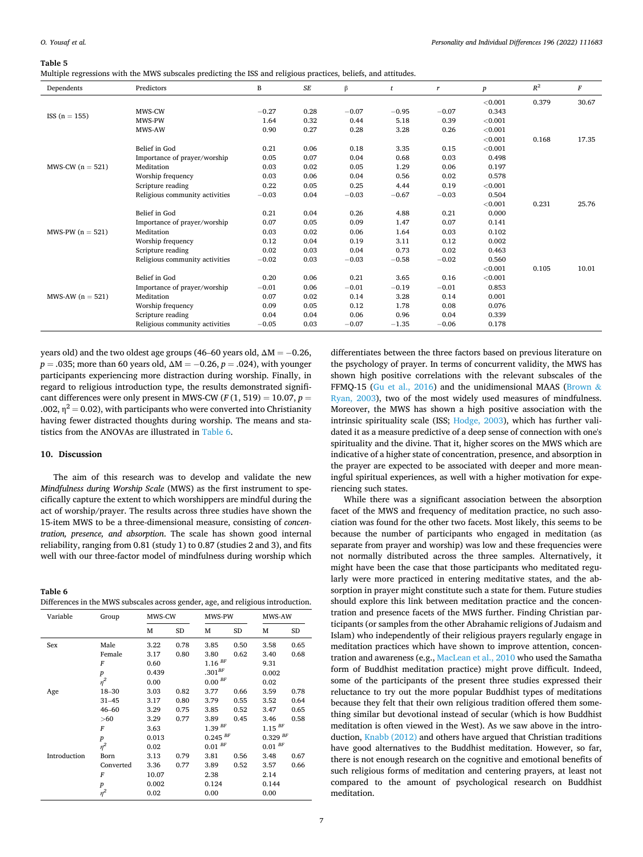<span id="page-6-0"></span>

| ., |  |
|----|--|
|----|--|

| Multiple regressions with the MWS subscales predicting the ISS and religious practices, beliefs, and attitudes. |  |  |  |
|-----------------------------------------------------------------------------------------------------------------|--|--|--|
|                                                                                                                 |  |  |  |

| Dependents         | Predictors                     | B       | $\cal SE$ | $\beta$ | t       | r       | $\boldsymbol{p}$ | $R^2$ | $\cal F$ |
|--------------------|--------------------------------|---------|-----------|---------|---------|---------|------------------|-------|----------|
|                    |                                |         |           |         |         |         | < 0.001          | 0.379 | 30.67    |
|                    | MWS-CW                         | $-0.27$ | 0.28      | $-0.07$ | $-0.95$ | $-0.07$ | 0.343            |       |          |
| ISS $(n = 155)$    | MWS-PW                         | 1.64    | 0.32      | 0.44    | 5.18    | 0.39    | < 0.001          |       |          |
|                    | MWS-AW                         | 0.90    | 0.27      | 0.28    | 3.28    | 0.26    | < 0.001          |       |          |
|                    |                                |         |           |         |         |         | < 0.001          | 0.168 | 17.35    |
|                    | Belief in God                  | 0.21    | 0.06      | 0.18    | 3.35    | 0.15    | < 0.001          |       |          |
|                    | Importance of prayer/worship   | 0.05    | 0.07      | 0.04    | 0.68    | 0.03    | 0.498            |       |          |
| MWS-CW $(n = 521)$ | Meditation                     | 0.03    | 0.02      | 0.05    | 1.29    | 0.06    | 0.197            |       |          |
|                    | Worship frequency              | 0.03    | 0.06      | 0.04    | 0.56    | 0.02    | 0.578            |       |          |
|                    | Scripture reading              | 0.22    | 0.05      | 0.25    | 4.44    | 0.19    | < 0.001          |       |          |
|                    | Religious community activities | $-0.03$ | 0.04      | $-0.03$ | $-0.67$ | $-0.03$ | 0.504            |       |          |
|                    |                                |         |           |         |         |         | < 0.001          | 0.231 | 25.76    |
|                    | Belief in God                  | 0.21    | 0.04      | 0.26    | 4.88    | 0.21    | 0.000            |       |          |
|                    | Importance of prayer/worship   | 0.07    | 0.05      | 0.09    | 1.47    | 0.07    | 0.141            |       |          |
| MWS-PW $(n = 521)$ | Meditation                     | 0.03    | 0.02      | 0.06    | 1.64    | 0.03    | 0.102            |       |          |
|                    | Worship frequency              | 0.12    | 0.04      | 0.19    | 3.11    | 0.12    | 0.002            |       |          |
|                    | Scripture reading              | 0.02    | 0.03      | 0.04    | 0.73    | 0.02    | 0.463            |       |          |
|                    | Religious community activities | $-0.02$ | 0.03      | $-0.03$ | $-0.58$ | $-0.02$ | 0.560            |       |          |
|                    |                                |         |           |         |         |         | < 0.001          | 0.105 | 10.01    |
|                    | Belief in God                  | 0.20    | 0.06      | 0.21    | 3.65    | 0.16    | < 0.001          |       |          |
|                    | Importance of prayer/worship   | $-0.01$ | 0.06      | $-0.01$ | $-0.19$ | $-0.01$ | 0.853            |       |          |
| MWS-AW $(n = 521)$ | Meditation                     | 0.07    | 0.02      | 0.14    | 3.28    | 0.14    | 0.001            |       |          |
|                    | Worship frequency              | 0.09    | 0.05      | 0.12    | 1.78    | 0.08    | 0.076            |       |          |
|                    | Scripture reading              | 0.04    | 0.04      | 0.06    | 0.96    | 0.04    | 0.339            |       |          |
|                    | Religious community activities | $-0.05$ | 0.03      | $-0.07$ | $-1.35$ | $-0.06$ | 0.178            |       |          |

years old) and the two oldest age groups (46–60 years old,  $\Delta M = -0.26$ , *p* = .035; more than 60 years old, ΔM = −0.26, *p* = .024), with younger participants experiencing more distraction during worship. Finally, in regard to religious introduction type, the results demonstrated significant differences were only present in MWS-CW  $(F(1, 519) = 10.07, p =$ .002,  $\eta^2$  = 0.02), with participants who were converted into Christianity having fewer distracted thoughts during worship. The means and statistics from the ANOVAs are illustrated in Table 6.

# **10. Discussion**

**Table 6** 

The aim of this research was to develop and validate the new *Mindfulness during Worship Scale* (MWS) as the first instrument to specifically capture the extent to which worshippers are mindful during the act of worship/prayer. The results across three studies have shown the 15-item MWS to be a three-dimensional measure, consisting of *concentration, presence, and absorption*. The scale has shown good internal reliability, ranging from 0.81 (study 1) to 0.87 (studies 2 and 3), and fits well with our three-factor model of mindfulness during worship which

| tuvic v                                                                          |  |
|----------------------------------------------------------------------------------|--|
| Differences in the MWS subscales across gender, age, and religious introduction. |  |

| Variable     | Group            | MWS-CW |      | MWS-PW                  |      | MWS-AW                                        |           |
|--------------|------------------|--------|------|-------------------------|------|-----------------------------------------------|-----------|
|              |                  | М      | SD   | М                       | SD   | м                                             | <b>SD</b> |
| Sex          | Male             | 3.22   | 0.78 | 3.85                    | 0.50 | 3.58                                          | 0.65      |
|              | Female           | 3.17   | 0.80 | 3.80                    | 0.62 | 3.40                                          | 0.68      |
|              | F                | 0.60   |      | $1.16$ <sup>BF</sup>    |      | 9.31                                          |           |
|              | $\boldsymbol{p}$ | 0.439  |      | $.301^{BF}$             |      | 0.002                                         |           |
|              | $\eta^2$         | 0.00   |      | 0.00 <sup>BF</sup>      |      | 0.02                                          |           |
| Age          | 18-30            | 3.03   | 0.82 | 3.77                    | 0.66 | 3.59                                          | 0.78      |
|              | $31 - 45$        | 3.17   | 0.80 | 3.79                    | 0.55 | 3.52                                          | 0.64      |
|              | $46 - 60$        | 3.29   | 0.75 | 3.85                    | 0.52 | 3.47                                          | 0.65      |
|              | >60              | 3.29   | 0.77 | 3.89                    | 0.45 | 3.46                                          | 0.58      |
|              | F                | 3.63   |      | 1.39 <sup>BF</sup>      |      | $1.15$ <sup>BF</sup><br>$0.329$ <sup>BF</sup> |           |
|              | $\boldsymbol{p}$ | 0.013  |      | $0.245~^{BF}$           |      |                                               |           |
|              | $n^2$            | 0.02   |      | $0.01$ $^{\mathit{BF}}$ |      | $0.01$ $^{\mathrm{\scriptscriptstyle{BF}}}$   |           |
| Introduction | Born             | 3.13   | 0.79 | 3.81                    | 0.56 | 3.48                                          | 0.67      |
|              | Converted        | 3.36   | 0.77 | 3.89                    | 0.52 | 3.57                                          | 0.66      |
|              | F                | 10.07  |      | 2.38                    |      | 2.14                                          |           |
|              | $\boldsymbol{p}$ | 0.002  |      | 0.124                   |      | 0.144                                         |           |
|              | $n^2$            | 0.02   |      | 0.00                    |      | 0.00                                          |           |

differentiates between the three factors based on previous literature on the psychology of prayer. In terms of concurrent validity, the MWS has shown high positive correlations with the relevant subscales of the FFMQ-15 ([Gu et al., 2016\)](#page-8-0) and the unidimensional MAAS [\(Brown](#page-8-0)  $\&$ [Ryan, 2003](#page-8-0)), two of the most widely used measures of mindfulness. Moreover, the MWS has shown a high positive association with the intrinsic spirituality scale (ISS; [Hodge, 2003](#page-8-0)), which has further validated it as a measure predictive of a deep sense of connection with one's spirituality and the divine. That it, higher scores on the MWS which are indicative of a higher state of concentration, presence, and absorption in the prayer are expected to be associated with deeper and more meaningful spiritual experiences, as well with a higher motivation for experiencing such states.

While there was a significant association between the absorption facet of the MWS and frequency of meditation practice, no such association was found for the other two facets. Most likely, this seems to be because the number of participants who engaged in meditation (as separate from prayer and worship) was low and these frequencies were not normally distributed across the three samples. Alternatively, it might have been the case that those participants who meditated regularly were more practiced in entering meditative states, and the absorption in prayer might constitute such a state for them. Future studies should explore this link between meditation practice and the concentration and presence facets of the MWS further. Finding Christian participants (or samples from the other Abrahamic religions of Judaism and Islam) who independently of their religious prayers regularly engage in meditation practices which have shown to improve attention, concentration and awareness (e.g., [MacLean et al., 2010](#page-8-0) who used the Samatha form of Buddhist meditation practice) might prove difficult. Indeed, some of the participants of the present three studies expressed their reluctance to try out the more popular Buddhist types of meditations because they felt that their own religious tradition offered them something similar but devotional instead of secular (which is how Buddhist meditation is often viewed in the West). As we saw above in the introduction, [Knabb \(2012\)](#page-8-0) and others have argued that Christian traditions have good alternatives to the Buddhist meditation. However, so far, there is not enough research on the cognitive and emotional benefits of such religious forms of meditation and centering prayers, at least not compared to the amount of psychological research on Buddhist meditation.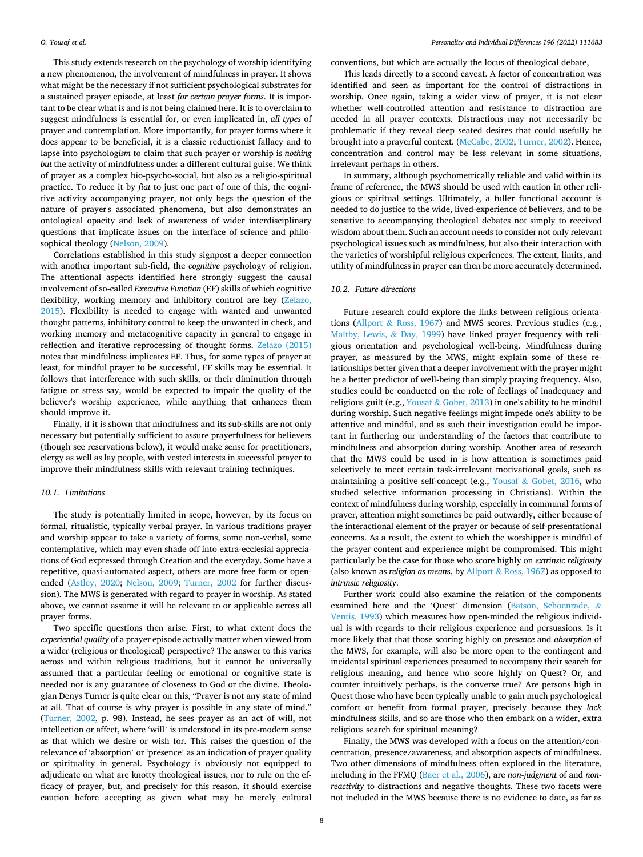This study extends research on the psychology of worship identifying a new phenomenon, the involvement of mindfulness in prayer. It shows what might be the necessary if not sufficient psychological substrates for a sustained prayer episode, at least *for certain prayer forms*. It is important to be clear what is and is not being claimed here. It is to overclaim to suggest mindfulness is essential for, or even implicated in, *all types* of prayer and contemplation. More importantly, for prayer forms where it does appear to be beneficial, it is a classic reductionist fallacy and to lapse into psycholog*ism* to claim that such prayer or worship is *nothing but* the activity of mindfulness under a different cultural guise. We think of prayer as a complex bio-psycho-social, but also as a religio-spiritual practice. To reduce it by *fiat* to just one part of one of this, the cognitive activity accompanying prayer, not only begs the question of the nature of prayer's associated phenomena, but also demonstrates an ontological opacity and lack of awareness of wider interdisciplinary questions that implicate issues on the interface of science and philosophical theology [\(Nelson, 2009\)](#page-8-0).

Correlations established in this study signpost a deeper connection with another important sub-field, the *cognitive* psychology of religion. The attentional aspects identified here strongly suggest the causal involvement of so-called *Executive Function* (EF) skills of which cognitive flexibility, working memory and inhibitory control are key ([Zelazo,](#page-8-0)  [2015\)](#page-8-0). Flexibility is needed to engage with wanted and unwanted thought patterns, inhibitory control to keep the unwanted in check, and working memory and metacognitive capacity in general to engage in reflection and iterative reprocessing of thought forms. [Zelazo \(2015\)](#page-8-0)  notes that mindfulness implicates EF. Thus, for some types of prayer at least, for mindful prayer to be successful, EF skills may be essential. It follows that interference with such skills, or their diminution through fatigue or stress say, would be expected to impair the quality of the believer's worship experience, while anything that enhances them should improve it.

Finally, if it is shown that mindfulness and its sub-skills are not only necessary but potentially sufficient to assure prayerfulness for believers (though see reservations below), it would make sense for practitioners, clergy as well as lay people, with vested interests in successful prayer to improve their mindfulness skills with relevant training techniques.

# *10.1. Limitations*

The study is potentially limited in scope, however, by its focus on formal, ritualistic, typically verbal prayer. In various traditions prayer and worship appear to take a variety of forms, some non-verbal, some contemplative, which may even shade off into extra-ecclesial appreciations of God expressed through Creation and the everyday. Some have a repetitive, quasi-automated aspect, others are more free form or openended ([Astley, 2020](#page-8-0); [Nelson, 2009](#page-8-0); [Turner, 2002](#page-8-0) for further discussion). The MWS is generated with regard to prayer in worship. As stated above, we cannot assume it will be relevant to or applicable across all prayer forms.

Two specific questions then arise. First, to what extent does the *experiential quality* of a prayer episode actually matter when viewed from a wider (religious or theological) perspective? The answer to this varies across and within religious traditions, but it cannot be universally assumed that a particular feeling or emotional or cognitive state is needed nor is any guarantee of closeness to God or the divine. Theologian Denys Turner is quite clear on this, "Prayer is not any state of mind at all. That of course is why prayer is possible in any state of mind." ([Turner, 2002](#page-8-0), p. 98). Instead, he sees prayer as an act of will, not intellection or affect, where 'will' is understood in its pre-modern sense as that which we desire or wish for. This raises the question of the relevance of 'absorption' or 'presence' as an indication of prayer quality or spirituality in general. Psychology is obviously not equipped to adjudicate on what are knotty theological issues, nor to rule on the efficacy of prayer, but, and precisely for this reason, it should exercise caution before accepting as given what may be merely cultural

conventions, but which are actually the locus of theological debate,

This leads directly to a second caveat. A factor of concentration was identified and seen as important for the control of distractions in worship. Once again, taking a wider view of prayer, it is not clear whether well-controlled attention and resistance to distraction are needed in all prayer contexts. Distractions may not necessarily be problematic if they reveal deep seated desires that could usefully be brought into a prayerful context. ([McCabe, 2002](#page-8-0); [Turner, 2002](#page-8-0)). Hence, concentration and control may be less relevant in some situations, irrelevant perhaps in others.

In summary, although psychometrically reliable and valid within its frame of reference, the MWS should be used with caution in other religious or spiritual settings. Ultimately, a fuller functional account is needed to do justice to the wide, lived-experience of believers, and to be sensitive to accompanying theological debates not simply to received wisdom about them. Such an account needs to consider not only relevant psychological issues such as mindfulness, but also their interaction with the varieties of worshipful religious experiences. The extent, limits, and utility of mindfulness in prayer can then be more accurately determined.

# *10.2. Future directions*

Future research could explore the links between religious orientations (Allport & [Ross, 1967\)](#page-8-0) and MWS scores. Previous studies (e.g., [Maltby, Lewis,](#page-8-0) & Day, 1999) have linked prayer frequency with religious orientation and psychological well-being. Mindfulness during prayer, as measured by the MWS, might explain some of these relationships better given that a deeper involvement with the prayer might be a better predictor of well-being than simply praying frequency. Also, studies could be conducted on the role of feelings of inadequacy and religious guilt (e.g., Yousaf & [Gobet, 2013](#page-8-0)) in one's ability to be mindful during worship. Such negative feelings might impede one's ability to be attentive and mindful, and as such their investigation could be important in furthering our understanding of the factors that contribute to mindfulness and absorption during worship. Another area of research that the MWS could be used in is how attention is sometimes paid selectively to meet certain task-irrelevant motivational goals, such as maintaining a positive self-concept (e.g., Yousaf  $\&$  [Gobet, 2016](#page-8-0), who studied selective information processing in Christians). Within the context of mindfulness during worship, especially in communal forms of prayer, attention might sometimes be paid outwardly, either because of the interactional element of the prayer or because of self-presentational concerns. As a result, the extent to which the worshipper is mindful of the prayer content and experience might be compromised. This might particularly be the case for those who score highly on *extrinsic religiosity*  (also known as *religion as mean*s, by Allport & [Ross, 1967](#page-8-0)) as opposed to *intrinsic religiosity*.

Further work could also examine the relation of the components examined here and the 'Quest' dimension [\(Batson, Schoenrade,](#page-8-0) & [Ventis, 1993](#page-8-0)) which measures how open-minded the religious individual is with regards to their religious experience and persuasions. Is it more likely that that those scoring highly on *presence* and *absorption* of the MWS, for example, will also be more open to the contingent and incidental spiritual experiences presumed to accompany their search for religious meaning, and hence who score highly on Quest? Or, and counter intuitively perhaps, is the converse true? Are persons high in Quest those who have been typically unable to gain much psychological comfort or benefit from formal prayer, precisely because they *lack*  mindfulness skills, and so are those who then embark on a wider, extra religious search for spiritual meaning?

Finally, the MWS was developed with a focus on the attention/concentration, presence/awareness, and absorption aspects of mindfulness. Two other dimensions of mindfulness often explored in the literature, including in the FFMQ [\(Baer et al., 2006\)](#page-8-0), are *non-judgment* of and *nonreactivity* to distractions and negative thoughts. These two facets were not included in the MWS because there is no evidence to date, as far as